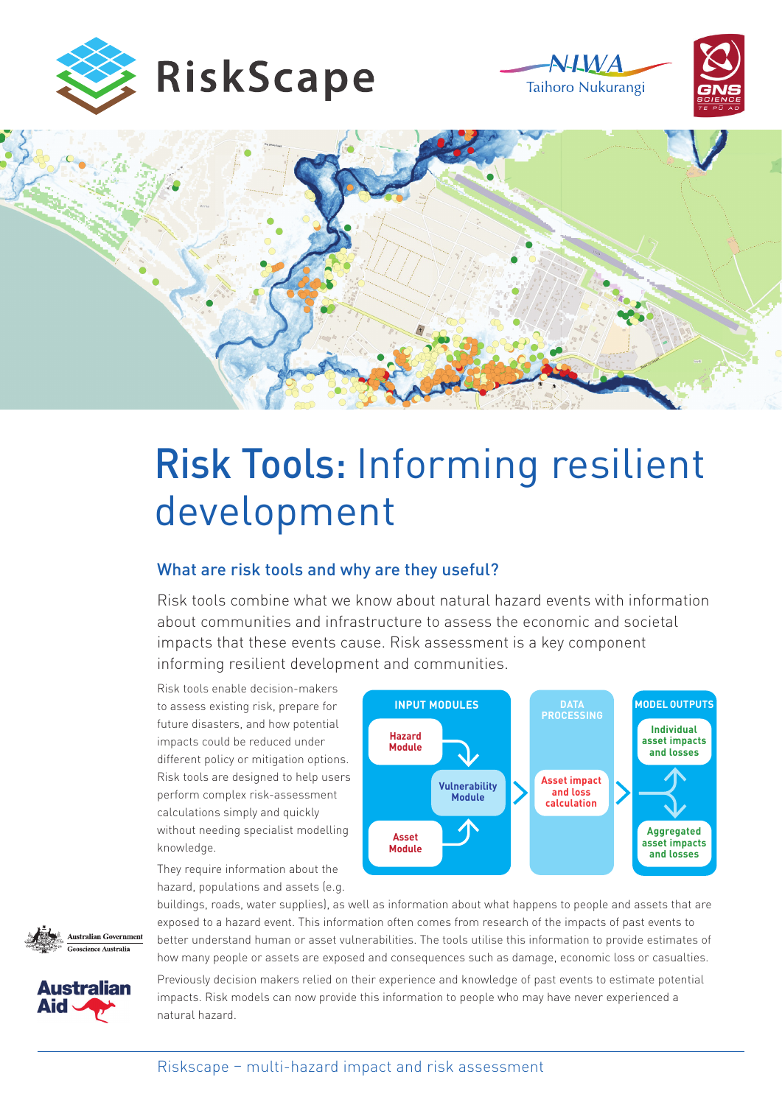







# Risk Tools: Informing resilient development

## What are risk tools and why are they useful?

Risk tools combine what we know about natural hazard events with information about communities and infrastructure to assess the economic and societal impacts that these events cause. Risk assessment is a key component informing resilient development and communities.

Risk tools enable decision-makers to assess existing risk, prepare for future disasters, and how potential impacts could be reduced under different policy or mitigation options. Risk tools are designed to help users perform complex risk-assessment calculations simply and quickly without needing specialist modelling knowledge.



They require information about the hazard, populations and assets (e.g.

better understand human or asset vulnerabilities. The tools utilise this information to provide estimates of buildings, roads, water supplies), as well as information about what happens to people and assets that are exposed to a hazard event. This information often comes from research of the impacts of past events to how many people or assets are exposed and consequences such as damage, economic loss or casualties.



**Australian** 

Previously decision makers relied on their experience and knowledge of past events to estimate potential impacts. Risk models can now provide this information to people who may have never experienced a natural hazard.